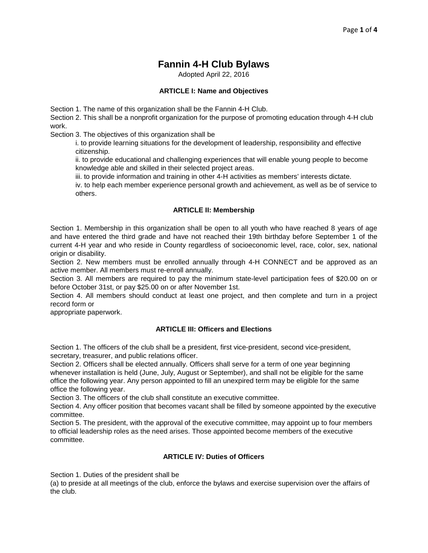# **Fannin 4-H Club Bylaws**

Adopted April 22, 2016

## **ARTICLE I: Name and Objectives**

Section 1. The name of this organization shall be the Fannin 4-H Club.

Section 2. This shall be a nonprofit organization for the purpose of promoting education through 4-H club work.

Section 3. The objectives of this organization shall be

i. to provide learning situations for the development of leadership, responsibility and effective citizenship.

ii. to provide educational and challenging experiences that will enable young people to become knowledge able and skilled in their selected project areas.

iii. to provide information and training in other 4-H activities as members' interests dictate.

iv. to help each member experience personal growth and achievement, as well as be of service to others.

## **ARTICLE II: Membership**

Section 1. Membership in this organization shall be open to all youth who have reached 8 years of age and have entered the third grade and have not reached their 19th birthday before September 1 of the current 4-H year and who reside in County regardless of socioeconomic level, race, color, sex, national origin or disability.

Section 2. New members must be enrolled annually through 4-H CONNECT and be approved as an active member. All members must re-enroll annually.

Section 3. All members are required to pay the minimum state-level participation fees of \$20.00 on or before October 31st, or pay \$25.00 on or after November 1st.

Section 4. All members should conduct at least one project, and then complete and turn in a project record form or

appropriate paperwork.

## **ARTICLE III: Officers and Elections**

Section 1. The officers of the club shall be a president, first vice-president, second vice-president, secretary, treasurer, and public relations officer.

Section 2. Officers shall be elected annually. Officers shall serve for a term of one year beginning whenever installation is held (June, July, August or September), and shall not be eligible for the same office the following year. Any person appointed to fill an unexpired term may be eligible for the same office the following year.

Section 3. The officers of the club shall constitute an executive committee.

Section 4. Any officer position that becomes vacant shall be filled by someone appointed by the executive committee.

Section 5. The president, with the approval of the executive committee, may appoint up to four members to official leadership roles as the need arises. Those appointed become members of the executive committee.

## **ARTICLE IV: Duties of Officers**

Section 1. Duties of the president shall be

(a) to preside at all meetings of the club, enforce the bylaws and exercise supervision over the affairs of the club.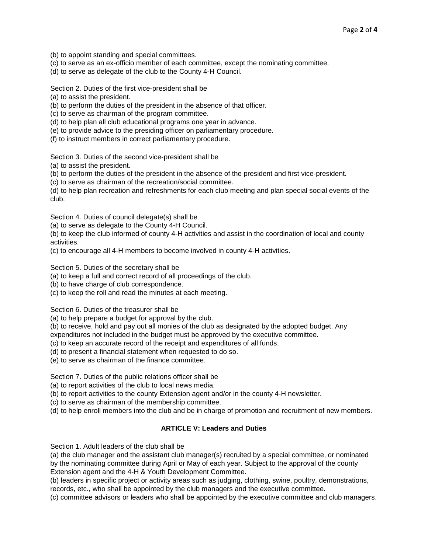- (b) to appoint standing and special committees.
- (c) to serve as an ex-officio member of each committee, except the nominating committee.
- (d) to serve as delegate of the club to the County 4-H Council.

Section 2. Duties of the first vice-president shall be

(a) to assist the president.

(b) to perform the duties of the president in the absence of that officer.

(c) to serve as chairman of the program committee.

- (d) to help plan all club educational programs one year in advance.
- (e) to provide advice to the presiding officer on parliamentary procedure.
- (f) to instruct members in correct parliamentary procedure.

Section 3. Duties of the second vice-president shall be

(a) to assist the president.

(b) to perform the duties of the president in the absence of the president and first vice-president.

(c) to serve as chairman of the recreation/social committee.

(d) to help plan recreation and refreshments for each club meeting and plan special social events of the club.

Section 4. Duties of council delegate(s) shall be

(a) to serve as delegate to the County 4-H Council.

(b) to keep the club informed of county 4-H activities and assist in the coordination of local and county activities.

(c) to encourage all 4-H members to become involved in county 4-H activities.

Section 5. Duties of the secretary shall be

(a) to keep a full and correct record of all proceedings of the club.

(b) to have charge of club correspondence.

(c) to keep the roll and read the minutes at each meeting.

Section 6. Duties of the treasurer shall be

(a) to help prepare a budget for approval by the club.

(b) to receive, hold and pay out all monies of the club as designated by the adopted budget. Any

expenditures not included in the budget must be approved by the executive committee.

- (c) to keep an accurate record of the receipt and expenditures of all funds.
- (d) to present a financial statement when requested to do so.

(e) to serve as chairman of the finance committee.

Section 7. Duties of the public relations officer shall be

(a) to report activities of the club to local news media.

(b) to report activities to the county Extension agent and/or in the county 4-H newsletter.

(c) to serve as chairman of the membership committee.

(d) to help enroll members into the club and be in charge of promotion and recruitment of new members.

#### **ARTICLE V: Leaders and Duties**

Section 1. Adult leaders of the club shall be

(a) the club manager and the assistant club manager(s) recruited by a special committee, or nominated by the nominating committee during April or May of each year. Subject to the approval of the county Extension agent and the 4-H & Youth Development Committee.

(b) leaders in specific project or activity areas such as judging, clothing, swine, poultry, demonstrations, records, etc., who shall be appointed by the club managers and the executive committee.

(c) committee advisors or leaders who shall be appointed by the executive committee and club managers.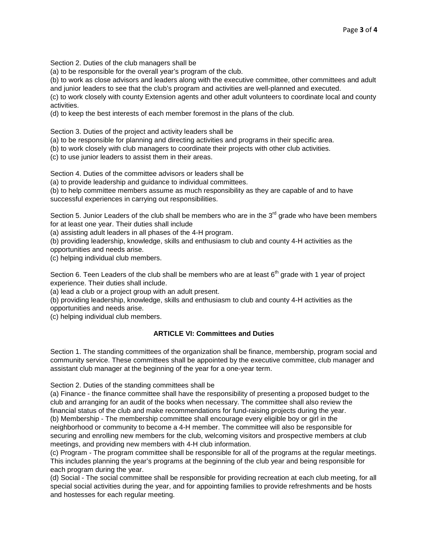Section 2. Duties of the club managers shall be

(a) to be responsible for the overall year's program of the club.

(b) to work as close advisors and leaders along with the executive committee, other committees and adult and junior leaders to see that the club's program and activities are well-planned and executed.

(c) to work closely with county Extension agents and other adult volunteers to coordinate local and county activities.

(d) to keep the best interests of each member foremost in the plans of the club.

Section 3. Duties of the project and activity leaders shall be

(a) to be responsible for planning and directing activities and programs in their specific area.

(b) to work closely with club managers to coordinate their projects with other club activities.

(c) to use junior leaders to assist them in their areas.

Section 4. Duties of the committee advisors or leaders shall be

(a) to provide leadership and guidance to individual committees.

(b) to help committee members assume as much responsibility as they are capable of and to have successful experiences in carrying out responsibilities.

Section 5. Junior Leaders of the club shall be members who are in the  $3<sup>rd</sup>$  grade who have been members for at least one year. Their duties shall include

(a) assisting adult leaders in all phases of the 4-H program.

(b) providing leadership, knowledge, skills and enthusiasm to club and county 4-H activities as the opportunities and needs arise.

(c) helping individual club members.

Section 6. Teen Leaders of the club shall be members who are at least  $6<sup>th</sup>$  grade with 1 year of project experience. Their duties shall include.

(a) lead a club or a project group with an adult present.

(b) providing leadership, knowledge, skills and enthusiasm to club and county 4-H activities as the opportunities and needs arise.

(c) helping individual club members.

## **ARTICLE VI: Committees and Duties**

Section 1. The standing committees of the organization shall be finance, membership, program social and community service. These committees shall be appointed by the executive committee, club manager and assistant club manager at the beginning of the year for a one-year term.

Section 2. Duties of the standing committees shall be

(a) Finance - the finance committee shall have the responsibility of presenting a proposed budget to the club and arranging for an audit of the books when necessary. The committee shall also review the financial status of the club and make recommendations for fund-raising projects during the year. (b) Membership - The membership committee shall encourage every eligible boy or girl in the neighborhood or community to become a 4-H member. The committee will also be responsible for securing and enrolling new members for the club, welcoming visitors and prospective members at club

meetings, and providing new members with 4-H club information.

(c) Program - The program committee shall be responsible for all of the programs at the regular meetings. This includes planning the year's programs at the beginning of the club year and being responsible for each program during the year.

(d) Social - The social committee shall be responsible for providing recreation at each club meeting, for all special social activities during the year, and for appointing families to provide refreshments and be hosts and hostesses for each regular meeting.